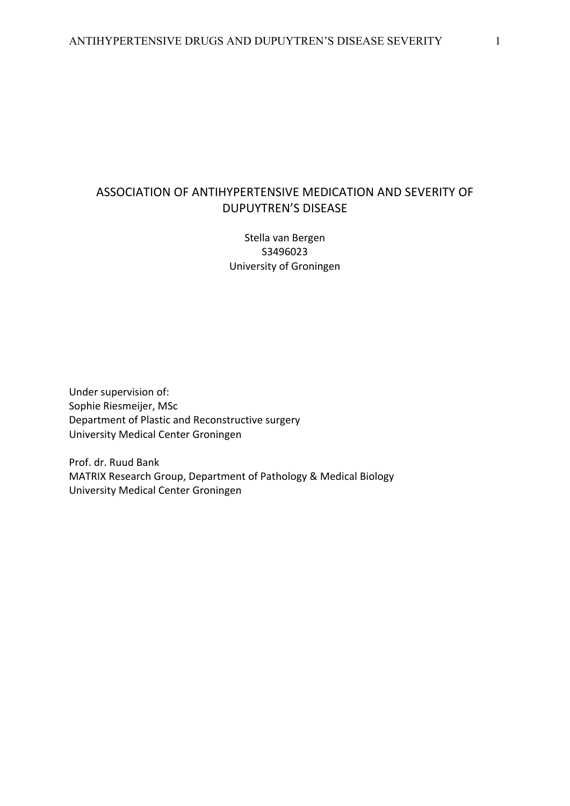# ASSOCIATION OF ANTIHYPERTENSIVE MEDICATION AND SEVERITY OF DUPUYTREN'S DISEASE

Stella van Bergen S3496023 University of Groningen

Under supervision of: Sophie Riesmeijer, MSc Department of Plastic and Reconstructive surgery University Medical Center Groningen

Prof. dr. Ruud Bank MATRIX Research Group, Department of Pathology & Medical Biology University Medical Center Groningen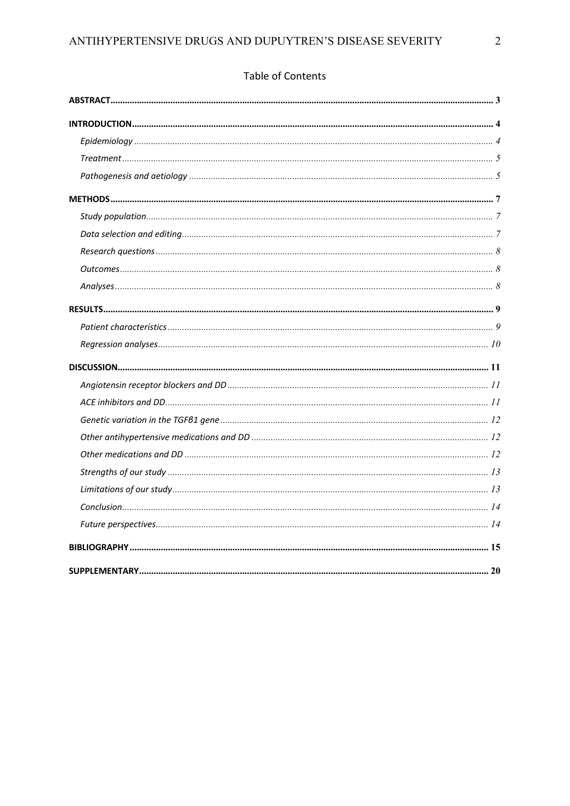# Table of Contents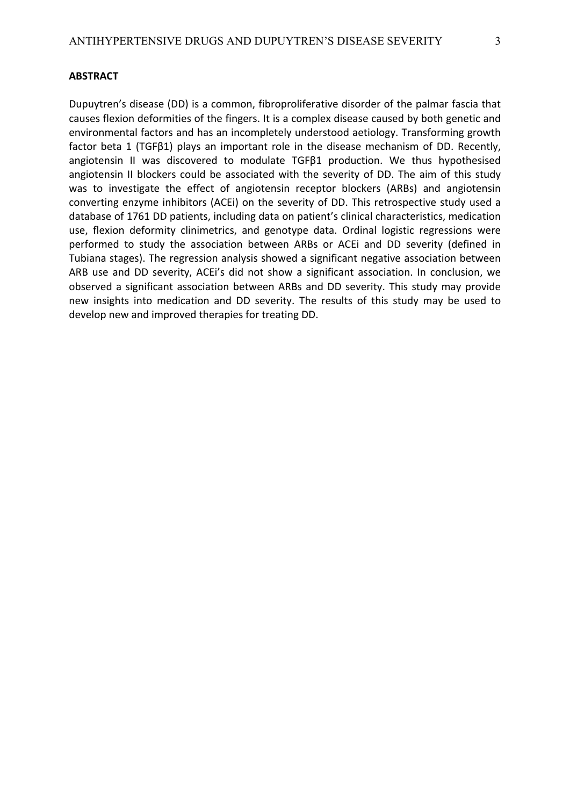## **ABSTRACT**

Dupuytren's disease (DD) is a common, fibroproliferative disorder of the palmar fascia that causes flexion deformities of the fingers. It is a complex disease caused by both genetic and environmental factors and has an incompletely understood aetiology. Transforming growth factor beta 1 (TGFβ1) plays an important role in the disease mechanism of DD. Recently, angiotensin II was discovered to modulate TGFβ1 production. We thus hypothesised angiotensin II blockers could be associated with the severity of DD. The aim of this study was to investigate the effect of angiotensin receptor blockers (ARBs) and angiotensin converting enzyme inhibitors (ACEi) on the severity of DD. This retrospective study used a database of 1761 DD patients, including data on patient's clinical characteristics, medication use, flexion deformity clinimetrics, and genotype data. Ordinal logistic regressions were performed to study the association between ARBs or ACEi and DD severity (defined in Tubiana stages). The regression analysis showed a significant negative association between ARB use and DD severity, ACEi's did not show a significant association. In conclusion, we observed a significant association between ARBs and DD severity. This study may provide new insights into medication and DD severity. The results of this study may be used to develop new and improved therapies for treating DD.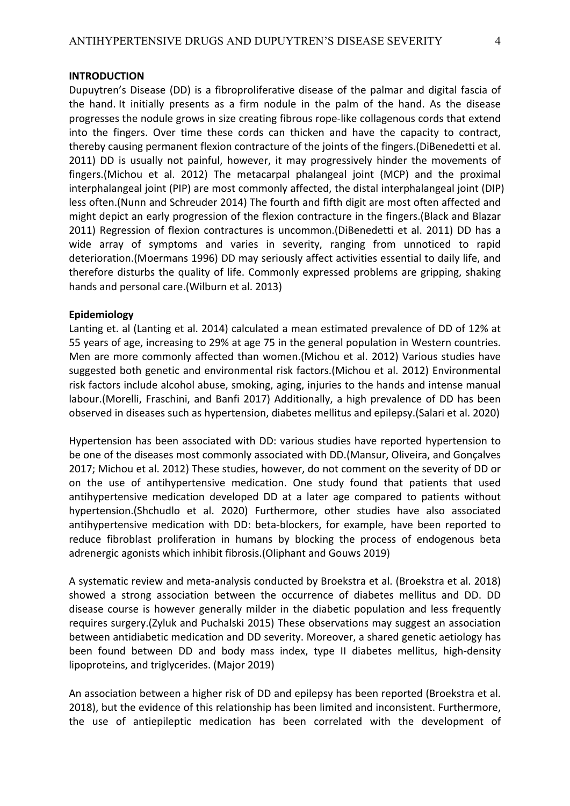Dupuytren's Disease (DD) is a fibroproliferative disease of the palmar and digital fascia of the hand. It initially presents as a firm nodule in the palm of the hand. As the disease progresses the nodule grows in size creating fibrous rope-like collagenous cords that extend into the fingers. Over time these cords can thicken and have the capacity to contract, thereby causing permanent flexion contracture of the joints of the fingers.(DiBenedetti et al. 2011) DD is usually not painful, however, it may progressively hinder the movements of fingers.(Michou et al. 2012) The metacarpal phalangeal joint (MCP) and the proximal interphalangeal joint (PIP) are most commonly affected, the distal interphalangeal joint (DIP) less often.(Nunn and Schreuder 2014) The fourth and fifth digit are most often affected and might depict an early progression of the flexion contracture in the fingers.(Black and Blazar 2011) Regression of flexion contractures is uncommon.(DiBenedetti et al. 2011) DD has a wide array of symptoms and varies in severity, ranging from unnoticed to rapid deterioration.(Moermans 1996) DD may seriously affect activities essential to daily life, and therefore disturbs the quality of life. Commonly expressed problems are gripping, shaking hands and personal care.(Wilburn et al. 2013)

## **Epidemiology**

Lanting et. al (Lanting et al. 2014) calculated a mean estimated prevalence of DD of 12% at 55 years of age, increasing to 29% at age 75 in the general population in Western countries. Men are more commonly affected than women.(Michou et al. 2012) Various studies have suggested both genetic and environmental risk factors.(Michou et al. 2012) Environmental risk factors include alcohol abuse, smoking, aging, injuries to the hands and intense manual labour.(Morelli, Fraschini, and Banfi 2017) Additionally, a high prevalence of DD has been observed in diseases such as hypertension, diabetes mellitus and epilepsy.(Salari et al. 2020)

Hypertension has been associated with DD: various studies have reported hypertension to be one of the diseases most commonly associated with DD.(Mansur, Oliveira, and Gonçalves 2017; Michou et al. 2012) These studies, however, do not comment on the severity of DD or on the use of antihypertensive medication. One study found that patients that used antihypertensive medication developed DD at a later age compared to patients without hypertension.(Shchudlo et al. 2020) Furthermore, other studies have also associated antihypertensive medication with DD: beta-blockers, for example, have been reported to reduce fibroblast proliferation in humans by blocking the process of endogenous beta adrenergic agonists which inhibit fibrosis.(Oliphant and Gouws 2019)

A systematic review and meta-analysis conducted by Broekstra et al. (Broekstra et al. 2018) showed a strong association between the occurrence of diabetes mellitus and DD. DD disease course is however generally milder in the diabetic population and less frequently requires surgery.(Zyluk and Puchalski 2015) These observations may suggest an association between antidiabetic medication and DD severity. Moreover, a shared genetic aetiology has been found between DD and body mass index, type II diabetes mellitus, high-density lipoproteins, and triglycerides. (Major 2019)

An association between a higher risk of DD and epilepsy has been reported (Broekstra et al. 2018), but the evidence of this relationship has been limited and inconsistent. Furthermore, the use of antiepileptic medication has been correlated with the development of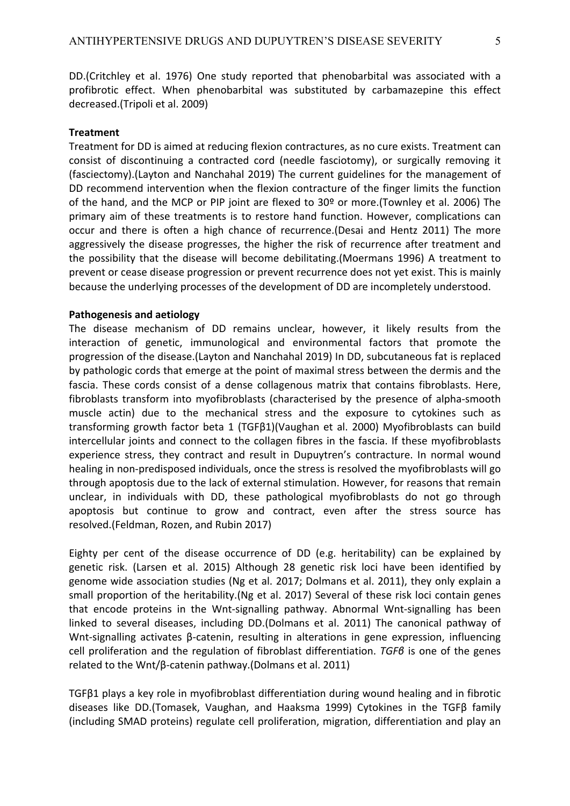DD.(Critchley et al. 1976) One study reported that phenobarbital was associated with a profibrotic effect. When phenobarbital was substituted by carbamazepine this effect decreased.(Tripoli et al. 2009)

# **Treatment**

Treatment for DD is aimed at reducing flexion contractures, as no cure exists. Treatment can consist of discontinuing a contracted cord (needle fasciotomy), or surgically removing it (fasciectomy).(Layton and Nanchahal 2019) The current guidelines for the management of DD recommend intervention when the flexion contracture of the finger limits the function of the hand, and the MCP or PIP joint are flexed to 30º or more.(Townley et al. 2006) The primary aim of these treatments is to restore hand function. However, complications can occur and there is often a high chance of recurrence.(Desai and Hentz 2011) The more aggressively the disease progresses, the higher the risk of recurrence after treatment and the possibility that the disease will become debilitating.(Moermans 1996) A treatment to prevent or cease disease progression or prevent recurrence does not yet exist. This is mainly because the underlying processes of the development of DD are incompletely understood.

# **Pathogenesis and aetiology**

The disease mechanism of DD remains unclear, however, it likely results from the interaction of genetic, immunological and environmental factors that promote the progression of the disease.(Layton and Nanchahal 2019) In DD, subcutaneous fat is replaced by pathologic cords that emerge at the point of maximal stress between the dermis and the fascia. These cords consist of a dense collagenous matrix that contains fibroblasts. Here, fibroblasts transform into myofibroblasts (characterised by the presence of alpha-smooth muscle actin) due to the mechanical stress and the exposure to cytokines such as transforming growth factor beta 1 (TGFβ1)(Vaughan et al. 2000) Myofibroblasts can build intercellular joints and connect to the collagen fibres in the fascia. If these myofibroblasts experience stress, they contract and result in Dupuytren's contracture. In normal wound healing in non-predisposed individuals, once the stress is resolved the myofibroblasts will go through apoptosis due to the lack of external stimulation. However, for reasons that remain unclear, in individuals with DD, these pathological myofibroblasts do not go through apoptosis but continue to grow and contract, even after the stress source has resolved.(Feldman, Rozen, and Rubin 2017)

Eighty per cent of the disease occurrence of DD (e.g. heritability) can be explained by genetic risk. (Larsen et al. 2015) Although 28 genetic risk loci have been identified by genome wide association studies (Ng et al. 2017; Dolmans et al. 2011), they only explain a small proportion of the heritability.(Ng et al. 2017) Several of these risk loci contain genes that encode proteins in the Wnt-signalling pathway. Abnormal Wnt-signalling has been linked to several diseases, including DD.(Dolmans et al. 2011) The canonical pathway of Wnt-signalling activates β-catenin, resulting in alterations in gene expression, influencing cell proliferation and the regulation of fibroblast differentiation. *TGFβ* is one of the genes related to the Wnt/β-catenin pathway.(Dolmans et al. 2011)

TGFβ1 plays a key role in myofibroblast differentiation during wound healing and in fibrotic diseases like DD.(Tomasek, Vaughan, and Haaksma 1999) Cytokines in the TGFβ family (including SMAD proteins) regulate cell proliferation, migration, differentiation and play an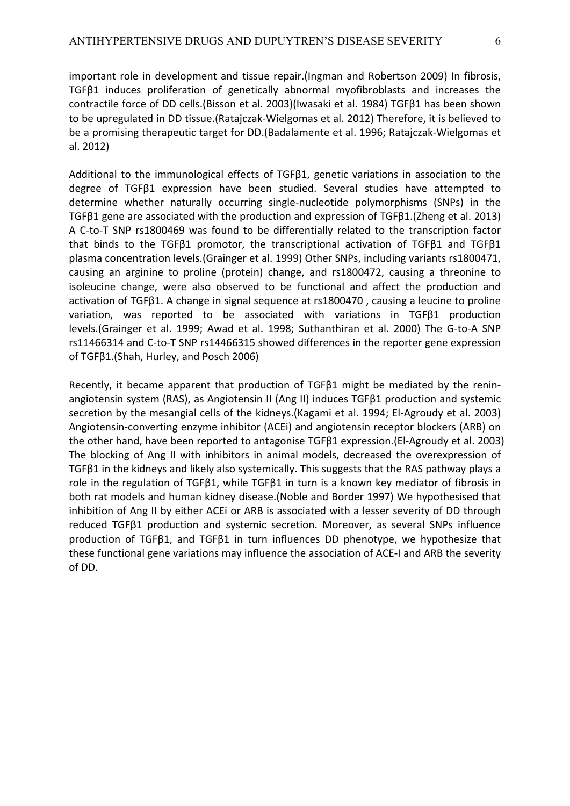important role in development and tissue repair.(Ingman and Robertson 2009) In fibrosis, TGFβ1 induces proliferation of genetically abnormal myofibroblasts and increases the contractile force of DD cells.(Bisson et al. 2003)(Iwasaki et al. 1984) TGFβ1 has been shown to be upregulated in DD tissue.(Ratajczak-Wielgomas et al. 2012) Therefore, it is believed to be a promising therapeutic target for DD.(Badalamente et al. 1996; Ratajczak-Wielgomas et al. 2012)

Additional to the immunological effects of TGFβ1, genetic variations in association to the degree of TGFβ1 expression have been studied. Several studies have attempted to determine whether naturally occurring single-nucleotide polymorphisms (SNPs) in the TGFβ1 gene are associated with the production and expression of TGFβ1.(Zheng et al. 2013) A C-to-T SNP rs1800469 was found to be differentially related to the transcription factor that binds to the TGFβ1 promotor, the transcriptional activation of TGFβ1 and TGFβ1 plasma concentration levels.(Grainger et al. 1999) Other SNPs, including variants rs1800471, causing an arginine to proline (protein) change, and rs1800472, causing a threonine to isoleucine change, were also observed to be functional and affect the production and activation of TGFβ1. A change in signal sequence at rs1800470 , causing a leucine to proline variation, was reported to be associated with variations in TGFβ1 production levels.(Grainger et al. 1999; Awad et al. 1998; Suthanthiran et al. 2000) The G-to-A SNP rs11466314 and C-to-T SNP rs14466315 showed differences in the reporter gene expression of TGFβ1.(Shah, Hurley, and Posch 2006)

Recently, it became apparent that production of TGFβ1 might be mediated by the reninangiotensin system (RAS), as Angiotensin II (Ang II) induces TGFβ1 production and systemic secretion by the mesangial cells of the kidneys.(Kagami et al. 1994; El-Agroudy et al. 2003) Angiotensin-converting enzyme inhibitor (ACEi) and angiotensin receptor blockers (ARB) on the other hand, have been reported to antagonise TGFβ1 expression.(El-Agroudy et al. 2003) The blocking of Ang II with inhibitors in animal models, decreased the overexpression of TGFβ1 in the kidneys and likely also systemically. This suggests that the RAS pathway plays a role in the regulation of TGFβ1, while TGFβ1 in turn is a known key mediator of fibrosis in both rat models and human kidney disease.(Noble and Border 1997) We hypothesised that inhibition of Ang II by either ACEi or ARB is associated with a lesser severity of DD through reduced TGFβ1 production and systemic secretion. Moreover, as several SNPs influence production of TGFβ1, and TGFβ1 in turn influences DD phenotype, we hypothesize that these functional gene variations may influence the association of ACE-I and ARB the severity of DD.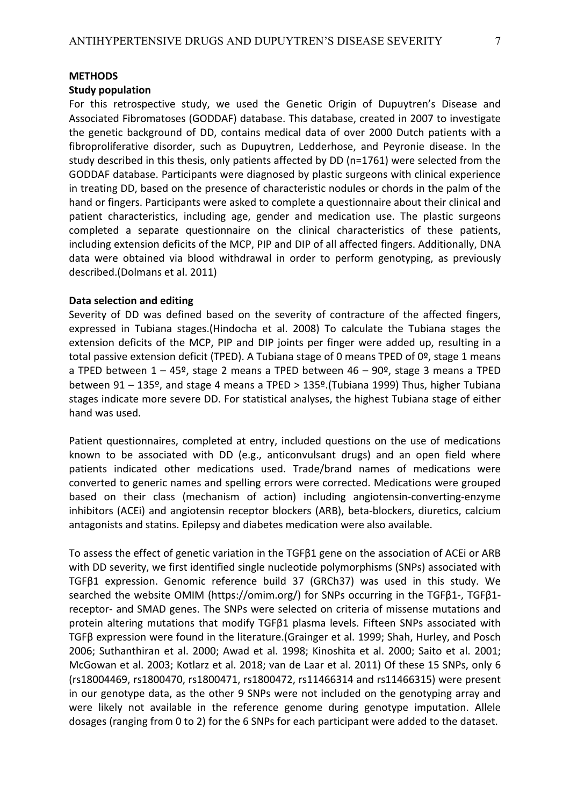#### **METHODS**

## **Study population**

For this retrospective study, we used the Genetic Origin of Dupuytren's Disease and Associated Fibromatoses (GODDAF) database. This database, created in 2007 to investigate the genetic background of DD, contains medical data of over 2000 Dutch patients with a fibroproliferative disorder, such as Dupuytren, Ledderhose, and Peyronie disease. In the study described in this thesis, only patients affected by DD (n=1761) were selected from the GODDAF database. Participants were diagnosed by plastic surgeons with clinical experience in treating DD, based on the presence of characteristic nodules or chords in the palm of the hand or fingers. Participants were asked to complete a questionnaire about their clinical and patient characteristics, including age, gender and medication use. The plastic surgeons completed a separate questionnaire on the clinical characteristics of these patients, including extension deficits of the MCP, PIP and DIP of all affected fingers. Additionally, DNA data were obtained via blood withdrawal in order to perform genotyping, as previously described.(Dolmans et al. 2011)

# **Data selection and editing**

Severity of DD was defined based on the severity of contracture of the affected fingers, expressed in Tubiana stages.(Hindocha et al. 2008) To calculate the Tubiana stages the extension deficits of the MCP, PIP and DIP joints per finger were added up, resulting in a total passive extension deficit (TPED). A Tubiana stage of 0 means TPED of 0º, stage 1 means a TPED between  $1 - 45$ <sup>o</sup>, stage 2 means a TPED between  $46 - 90$ <sup>o</sup>, stage 3 means a TPED between 91 – 135º, and stage 4 means a TPED > 135º.(Tubiana 1999) Thus, higher Tubiana stages indicate more severe DD. For statistical analyses, the highest Tubiana stage of either hand was used.

Patient questionnaires, completed at entry, included questions on the use of medications known to be associated with DD (e.g., anticonvulsant drugs) and an open field where patients indicated other medications used. Trade/brand names of medications were converted to generic names and spelling errors were corrected. Medications were grouped based on their class (mechanism of action) including angiotensin-converting-enzyme inhibitors (ACEi) and angiotensin receptor blockers (ARB), beta-blockers, diuretics, calcium antagonists and statins. Epilepsy and diabetes medication were also available.

To assess the effect of genetic variation in the TGFβ1 gene on the association of ACEi or ARB with DD severity, we first identified single nucleotide polymorphisms (SNPs) associated with TGFβ1 expression. Genomic reference build 37 (GRCh37) was used in this study. We searched the website OMIM (https://omim.org/) for SNPs occurring in the TGFβ1-, TGFβ1 receptor- and SMAD genes. The SNPs were selected on criteria of missense mutations and protein altering mutations that modify TGFβ1 plasma levels. Fifteen SNPs associated with TGFβ expression were found in the literature.(Grainger et al. 1999; Shah, Hurley, and Posch 2006; Suthanthiran et al. 2000; Awad et al. 1998; Kinoshita et al. 2000; Saito et al. 2001; McGowan et al. 2003; Kotlarz et al. 2018; van de Laar et al. 2011) Of these 15 SNPs, only 6 (rs18004469, rs1800470, rs1800471, rs1800472, rs11466314 and rs11466315) were present in our genotype data, as the other 9 SNPs were not included on the genotyping array and were likely not available in the reference genome during genotype imputation. Allele dosages (ranging from 0 to 2) for the 6 SNPs for each participant were added to the dataset.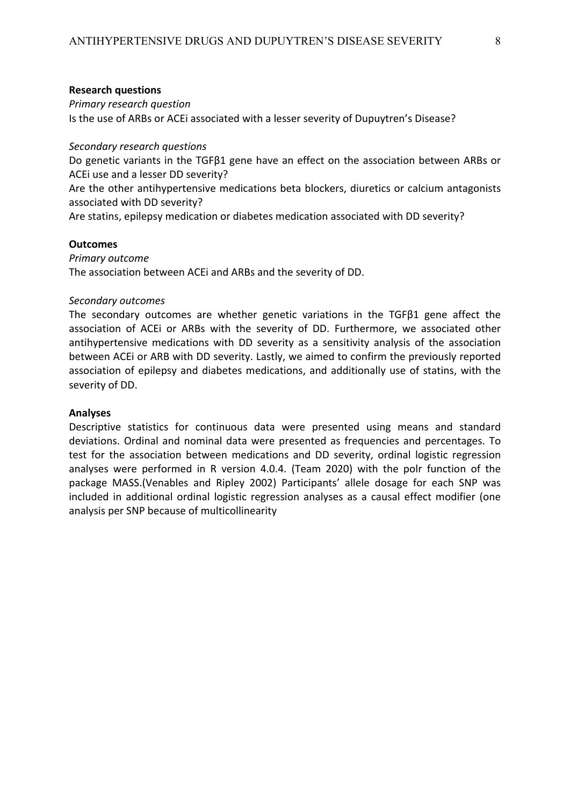## **Research questions**

#### *Primary research question*

Is the use of ARBs or ACEi associated with a lesser severity of Dupuytren's Disease?

## *Secondary research questions*

Do genetic variants in the TGFβ1 gene have an effect on the association between ARBs or ACEi use and a lesser DD severity?

Are the other antihypertensive medications beta blockers, diuretics or calcium antagonists associated with DD severity?

Are statins, epilepsy medication or diabetes medication associated with DD severity?

## **Outcomes**

## *Primary outcome*

The association between ACEi and ARBs and the severity of DD.

## *Secondary outcomes*

The secondary outcomes are whether genetic variations in the TGFβ1 gene affect the association of ACEi or ARBs with the severity of DD. Furthermore, we associated other antihypertensive medications with DD severity as a sensitivity analysis of the association between ACEi or ARB with DD severity. Lastly, we aimed to confirm the previously reported association of epilepsy and diabetes medications, and additionally use of statins, with the severity of DD.

#### **Analyses**

Descriptive statistics for continuous data were presented using means and standard deviations. Ordinal and nominal data were presented as frequencies and percentages. To test for the association between medications and DD severity, ordinal logistic regression analyses were performed in R version 4.0.4. (Team 2020) with the polr function of the package MASS.(Venables and Ripley 2002) Participants' allele dosage for each SNP was included in additional ordinal logistic regression analyses as a causal effect modifier (one analysis per SNP because of multicollinearity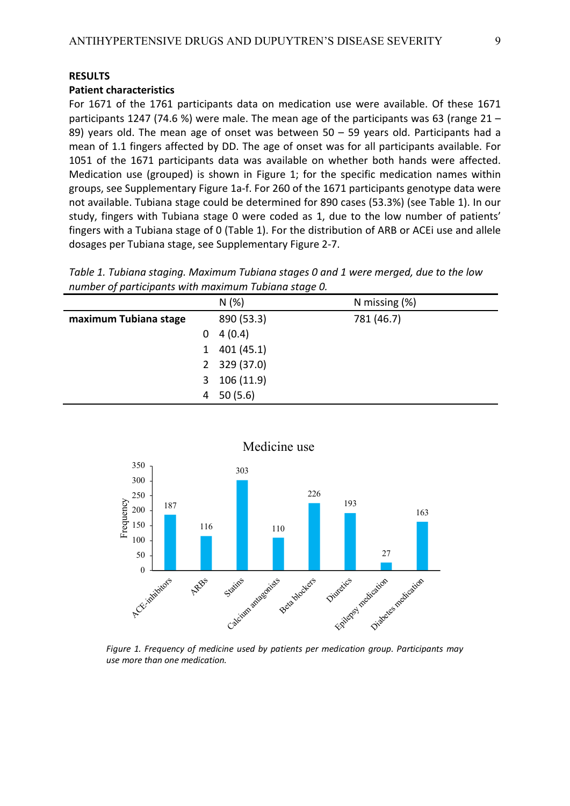## **Patient characteristics**

For 1671 of the 1761 participants data on medication use were available. Of these 1671 participants 1247 (74.6 %) were male. The mean age of the participants was 63 (range 21 – 89) years old. The mean age of onset was between  $50 - 59$  years old. Participants had a mean of 1.1 fingers affected by DD. The age of onset was for all participants available. For 1051 of the 1671 participants data was available on whether both hands were affected. Medication use (grouped) is shown in Figure 1; for the specific medication names within groups, see Supplementary Figure 1a-f. For 260 of the 1671 participants genotype data were not available. Tubiana stage could be determined for 890 cases (53.3%) (see Table 1). In our study, fingers with Tubiana stage 0 were coded as 1, due to the low number of patients' fingers with a Tubiana stage of 0 (Table 1). For the distribution of ARB or ACEi use and allele dosages per Tubiana stage, see Supplementary Figure 2-7.

*Table 1. Tubiana staging. Maximum Tubiana stages 0 and 1 were merged, due to the low number of participants with maximum Tubiana stage 0.*

|   | N(%)        | N missing $(\%)$ |
|---|-------------|------------------|
|   | 890 (53.3)  | 781 (46.7)       |
| 0 | 4(0.4)      |                  |
| 1 | 401(45.1)   |                  |
|   | 329 (37.0)  |                  |
| 3 | 106 (11.9)  |                  |
| 4 | 50(5.6)     |                  |
|   | $2^{\circ}$ |                  |



*Figure 1. Frequency of medicine used by patients per medication group. Participants may use more than one medication.*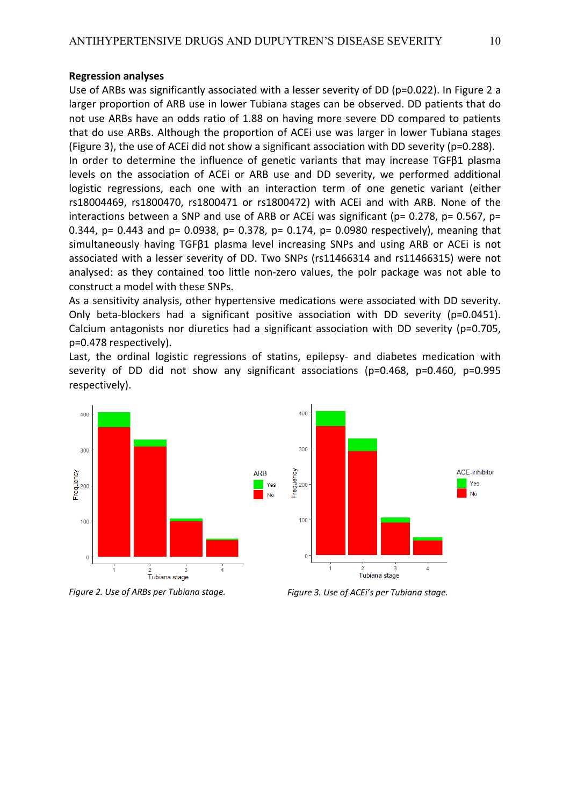#### **Regression analyses**

Use of ARBs was significantly associated with a lesser severity of DD (p=0.022). In Figure 2 a larger proportion of ARB use in lower Tubiana stages can be observed. DD patients that do not use ARBs have an odds ratio of 1.88 on having more severe DD compared to patients that do use ARBs. Although the proportion of ACEi use was larger in lower Tubiana stages (Figure 3), the use of ACEi did not show a significant association with DD severity (p=0.288). In order to determine the influence of genetic variants that may increase TGFβ1 plasma

levels on the association of ACEi or ARB use and DD severity, we performed additional logistic regressions, each one with an interaction term of one genetic variant (either rs18004469, rs1800470, rs1800471 or rs1800472) with ACEi and with ARB. None of the interactions between a SNP and use of ARB or ACEi was significant ( $p= 0.278$ ,  $p= 0.567$ ,  $p=$ 0.344, p= 0.443 and p= 0.0938, p= 0.378, p= 0.174, p= 0.0980 respectively), meaning that simultaneously having TGFβ1 plasma level increasing SNPs and using ARB or ACEi is not associated with a lesser severity of DD. Two SNPs (rs11466314 and rs11466315) were not analysed: as they contained too little non-zero values, the polr package was not able to construct a model with these SNPs.

As a sensitivity analysis, other hypertensive medications were associated with DD severity. Only beta-blockers had a significant positive association with DD severity (p=0.0451). Calcium antagonists nor diuretics had a significant association with DD severity (p=0.705, p=0.478 respectively).

Last, the ordinal logistic regressions of statins, epilepsy- and diabetes medication with severity of DD did not show any significant associations (p=0.468, p=0.460, p=0.995 respectively).

Yes

**No** 





*Figure 2. Use of ARBs per Tubiana stage.*

*Figure 3. Use of ACEi's per Tubiana stage.*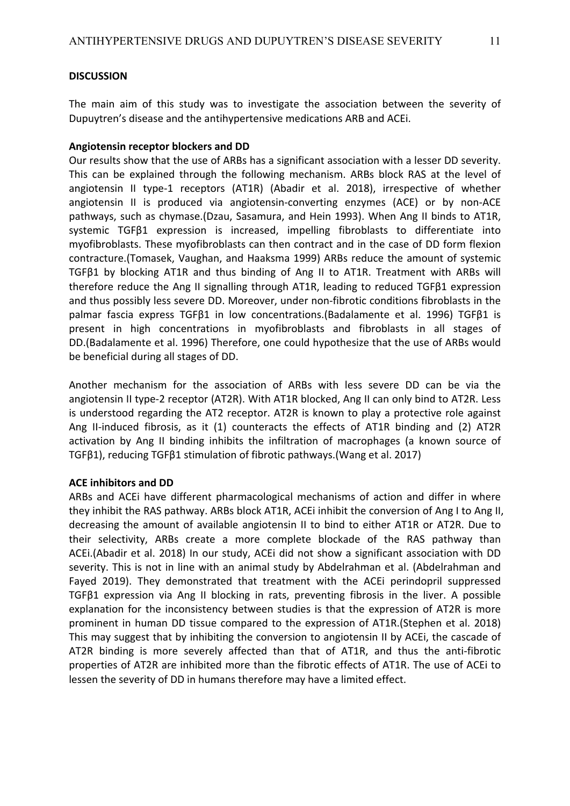# **DISCUSSION**

The main aim of this study was to investigate the association between the severity of Dupuytren's disease and the antihypertensive medications ARB and ACEi.

# **Angiotensin receptor blockers and DD**

Our results show that the use of ARBs has a significant association with a lesser DD severity. This can be explained through the following mechanism. ARBs block RAS at the level of angiotensin II type-1 receptors (AT1R) (Abadir et al. 2018), irrespective of whether angiotensin II is produced via angiotensin-converting enzymes (ACE) or by non-ACE pathways, such as chymase.(Dzau, Sasamura, and Hein 1993). When Ang II binds to AT1R, systemic TGFβ1 expression is increased, impelling fibroblasts to differentiate into myofibroblasts. These myofibroblasts can then contract and in the case of DD form flexion contracture.(Tomasek, Vaughan, and Haaksma 1999) ARBs reduce the amount of systemic TGFβ1 by blocking AT1R and thus binding of Ang II to AT1R. Treatment with ARBs will therefore reduce the Ang II signalling through AT1R, leading to reduced TGFβ1 expression and thus possibly less severe DD. Moreover, under non-fibrotic conditions fibroblasts in the palmar fascia express TGFβ1 in low concentrations.(Badalamente et al. 1996) TGFβ1 is present in high concentrations in myofibroblasts and fibroblasts in all stages of DD.(Badalamente et al. 1996) Therefore, one could hypothesize that the use of ARBs would be beneficial during all stages of DD.

Another mechanism for the association of ARBs with less severe DD can be via the angiotensin II type-2 receptor (AT2R). With AT1R blocked, Ang II can only bind to AT2R. Less is understood regarding the AT2 receptor. AT2R is known to play a protective role against Ang II-induced fibrosis, as it (1) counteracts the effects of AT1R binding and (2) AT2R activation by Ang II binding inhibits the infiltration of macrophages (a known source of TGFβ1), reducing TGFβ1 stimulation of fibrotic pathways.(Wang et al. 2017)

# **ACE inhibitors and DD**

ARBs and ACEi have different pharmacological mechanisms of action and differ in where they inhibit the RAS pathway. ARBs block AT1R, ACEi inhibit the conversion of Ang I to Ang II, decreasing the amount of available angiotensin II to bind to either AT1R or AT2R. Due to their selectivity, ARBs create a more complete blockade of the RAS pathway than ACEi.(Abadir et al. 2018) In our study, ACEi did not show a significant association with DD severity. This is not in line with an animal study by Abdelrahman et al. (Abdelrahman and Fayed 2019). They demonstrated that treatment with the ACEi perindopril suppressed TGFβ1 expression via Ang II blocking in rats, preventing fibrosis in the liver. A possible explanation for the inconsistency between studies is that the expression of AT2R is more prominent in human DD tissue compared to the expression of AT1R.(Stephen et al. 2018) This may suggest that by inhibiting the conversion to angiotensin II by ACEi, the cascade of AT2R binding is more severely affected than that of AT1R, and thus the anti-fibrotic properties of AT2R are inhibited more than the fibrotic effects of AT1R. The use of ACEi to lessen the severity of DD in humans therefore may have a limited effect.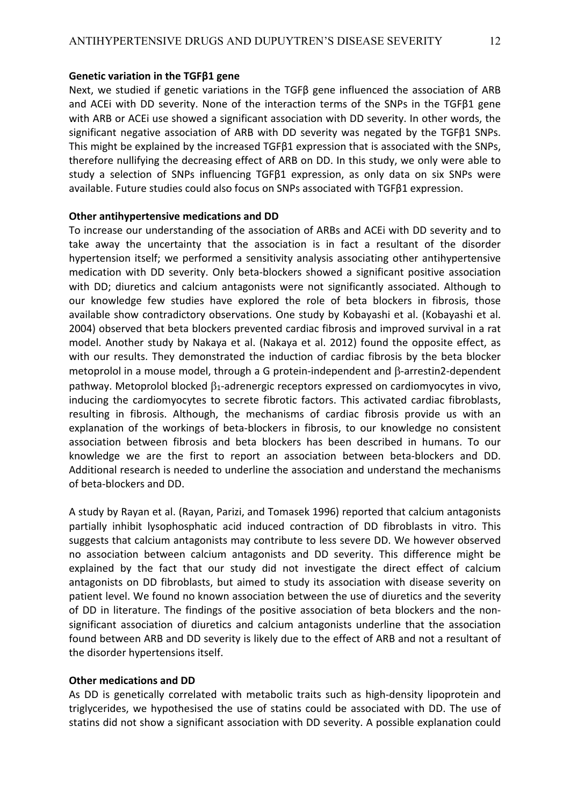## **Genetic variation in the TGFβ1 gene**

Next, we studied if genetic variations in the TGFβ gene influenced the association of ARB and ACEi with DD severity. None of the interaction terms of the SNPs in the TGFβ1 gene with ARB or ACEi use showed a significant association with DD severity. In other words, the significant negative association of ARB with DD severity was negated by the TGFβ1 SNPs. This might be explained by the increased TGFβ1 expression that is associated with the SNPs, therefore nullifying the decreasing effect of ARB on DD. In this study, we only were able to study a selection of SNPs influencing TGFβ1 expression, as only data on six SNPs were available. Future studies could also focus on SNPs associated with TGFβ1 expression.

# **Other antihypertensive medications and DD**

To increase our understanding of the association of ARBs and ACEi with DD severity and to take away the uncertainty that the association is in fact a resultant of the disorder hypertension itself; we performed a sensitivity analysis associating other antihypertensive medication with DD severity. Only beta-blockers showed a significant positive association with DD; diuretics and calcium antagonists were not significantly associated. Although to our knowledge few studies have explored the role of beta blockers in fibrosis, those available show contradictory observations. One study by Kobayashi et al. (Kobayashi et al. 2004) observed that beta blockers prevented cardiac fibrosis and improved survival in a rat model. Another study by Nakaya et al. (Nakaya et al. 2012) found the opposite effect, as with our results. They demonstrated the induction of cardiac fibrosis by the beta blocker metoprolol in a mouse model, through a G protein-independent and  $\beta$ -arrestin2-dependent pathway. Metoprolol blocked  $\beta_1$ -adrenergic receptors expressed on cardiomyocytes in vivo, inducing the cardiomyocytes to secrete fibrotic factors. This activated cardiac fibroblasts, resulting in fibrosis. Although, the mechanisms of cardiac fibrosis provide us with an explanation of the workings of beta-blockers in fibrosis, to our knowledge no consistent association between fibrosis and beta blockers has been described in humans. To our knowledge we are the first to report an association between beta-blockers and DD. Additional research is needed to underline the association and understand the mechanisms of beta-blockers and DD.

A study by Rayan et al. (Rayan, Parizi, and Tomasek 1996) reported that calcium antagonists partially inhibit lysophosphatic acid induced contraction of DD fibroblasts in vitro. This suggests that calcium antagonists may contribute to less severe DD. We however observed no association between calcium antagonists and DD severity. This difference might be explained by the fact that our study did not investigate the direct effect of calcium antagonists on DD fibroblasts, but aimed to study its association with disease severity on patient level. We found no known association between the use of diuretics and the severity of DD in literature. The findings of the positive association of beta blockers and the nonsignificant association of diuretics and calcium antagonists underline that the association found between ARB and DD severity is likely due to the effect of ARB and not a resultant of the disorder hypertensions itself.

#### **Other medications and DD**

As DD is genetically correlated with metabolic traits such as high-density lipoprotein and triglycerides, we hypothesised the use of statins could be associated with DD. The use of statins did not show a significant association with DD severity. A possible explanation could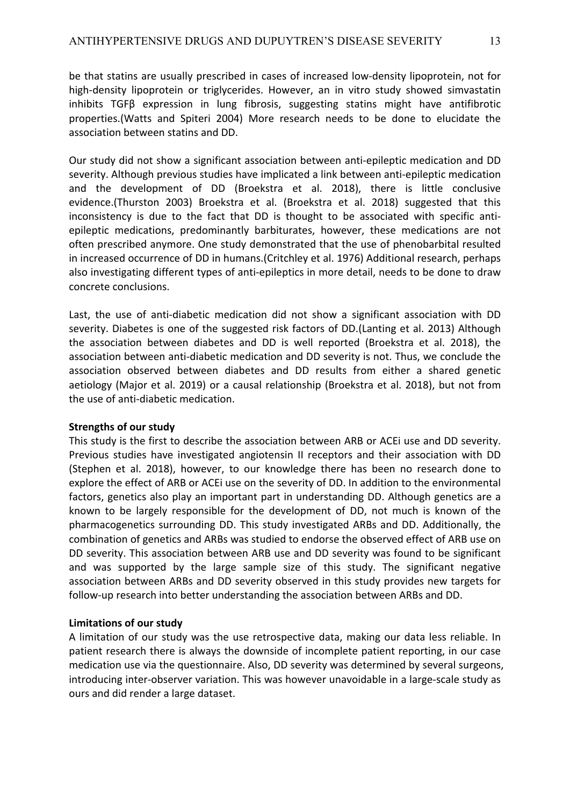be that statins are usually prescribed in cases of increased low-density lipoprotein, not for high-density lipoprotein or triglycerides. However, an in vitro study showed simvastatin inhibits TGFβ expression in lung fibrosis, suggesting statins might have antifibrotic properties.(Watts and Spiteri 2004) More research needs to be done to elucidate the association between statins and DD.

Our study did not show a significant association between anti-epileptic medication and DD severity. Although previous studies have implicated a link between anti-epileptic medication and the development of DD (Broekstra et al. 2018), there is little conclusive evidence.(Thurston 2003) Broekstra et al. (Broekstra et al. 2018) suggested that this inconsistency is due to the fact that DD is thought to be associated with specific antiepileptic medications, predominantly barbiturates, however, these medications are not often prescribed anymore. One study demonstrated that the use of phenobarbital resulted in increased occurrence of DD in humans.(Critchley et al. 1976) Additional research, perhaps also investigating different types of anti-epileptics in more detail, needs to be done to draw concrete conclusions.

Last, the use of anti-diabetic medication did not show a significant association with DD severity. Diabetes is one of the suggested risk factors of DD.(Lanting et al. 2013) Although the association between diabetes and DD is well reported (Broekstra et al. 2018), the association between anti-diabetic medication and DD severity is not. Thus, we conclude the association observed between diabetes and DD results from either a shared genetic aetiology (Major et al. 2019) or a causal relationship (Broekstra et al. 2018), but not from the use of anti-diabetic medication.

# **Strengths of our study**

This study is the first to describe the association between ARB or ACEi use and DD severity. Previous studies have investigated angiotensin II receptors and their association with DD (Stephen et al. 2018), however, to our knowledge there has been no research done to explore the effect of ARB or ACEi use on the severity of DD. In addition to the environmental factors, genetics also play an important part in understanding DD. Although genetics are a known to be largely responsible for the development of DD, not much is known of the pharmacogenetics surrounding DD. This study investigated ARBs and DD. Additionally, the combination of genetics and ARBs was studied to endorse the observed effect of ARB use on DD severity. This association between ARB use and DD severity was found to be significant and was supported by the large sample size of this study. The significant negative association between ARBs and DD severity observed in this study provides new targets for follow-up research into better understanding the association between ARBs and DD.

# **Limitations of our study**

A limitation of our study was the use retrospective data, making our data less reliable. In patient research there is always the downside of incomplete patient reporting, in our case medication use via the questionnaire. Also, DD severity was determined by several surgeons, introducing inter-observer variation. This was however unavoidable in a large-scale study as ours and did render a large dataset.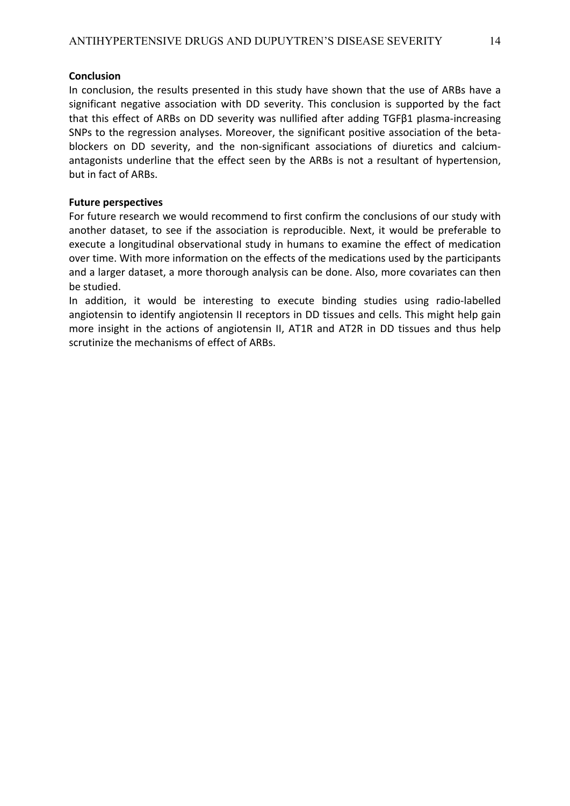# **Conclusion**

In conclusion, the results presented in this study have shown that the use of ARBs have a significant negative association with DD severity. This conclusion is supported by the fact that this effect of ARBs on DD severity was nullified after adding TGFβ1 plasma-increasing SNPs to the regression analyses. Moreover, the significant positive association of the betablockers on DD severity, and the non-significant associations of diuretics and calciumantagonists underline that the effect seen by the ARBs is not a resultant of hypertension, but in fact of ARBs.

# **Future perspectives**

For future research we would recommend to first confirm the conclusions of our study with another dataset, to see if the association is reproducible. Next, it would be preferable to execute a longitudinal observational study in humans to examine the effect of medication over time. With more information on the effects of the medications used by the participants and a larger dataset, a more thorough analysis can be done. Also, more covariates can then be studied.

In addition, it would be interesting to execute binding studies using radio-labelled angiotensin to identify angiotensin II receptors in DD tissues and cells. This might help gain more insight in the actions of angiotensin II, AT1R and AT2R in DD tissues and thus help scrutinize the mechanisms of effect of ARBs.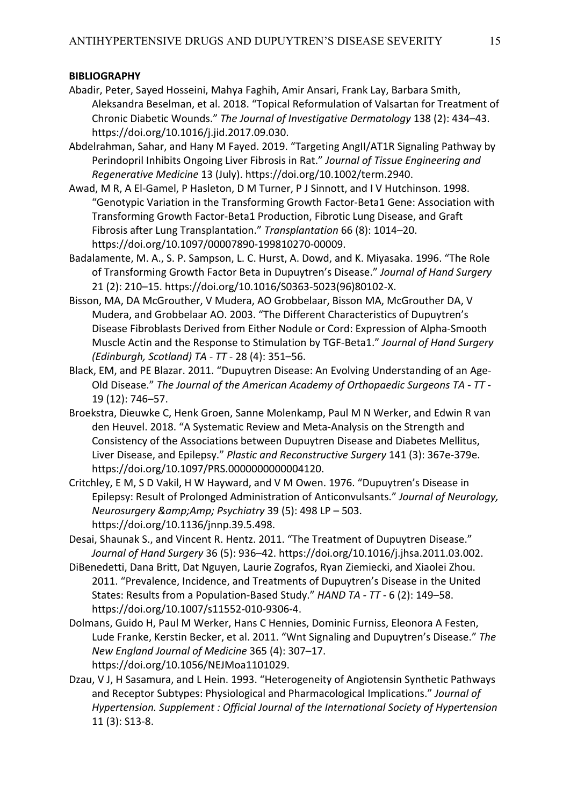# **BIBLIOGRAPHY**

- Abadir, Peter, Sayed Hosseini, Mahya Faghih, Amir Ansari, Frank Lay, Barbara Smith, Aleksandra Beselman, et al. 2018. "Topical Reformulation of Valsartan for Treatment of Chronic Diabetic Wounds." *The Journal of Investigative Dermatology* 138 (2): 434–43. https://doi.org/10.1016/j.jid.2017.09.030.
- Abdelrahman, Sahar, and Hany M Fayed. 2019. "Targeting AngII/AT1R Signaling Pathway by Perindopril Inhibits Ongoing Liver Fibrosis in Rat." *Journal of Tissue Engineering and Regenerative Medicine* 13 (July). https://doi.org/10.1002/term.2940.
- Awad, M R, A El-Gamel, P Hasleton, D M Turner, P J Sinnott, and I V Hutchinson. 1998. "Genotypic Variation in the Transforming Growth Factor-Beta1 Gene: Association with Transforming Growth Factor-Beta1 Production, Fibrotic Lung Disease, and Graft Fibrosis after Lung Transplantation." *Transplantation* 66 (8): 1014–20. https://doi.org/10.1097/00007890-199810270-00009.
- Badalamente, M. A., S. P. Sampson, L. C. Hurst, A. Dowd, and K. Miyasaka. 1996. "The Role of Transforming Growth Factor Beta in Dupuytren's Disease." *Journal of Hand Surgery* 21 (2): 210–15. https://doi.org/10.1016/S0363-5023(96)80102-X.
- Bisson, MA, DA McGrouther, V Mudera, AO Grobbelaar, Bisson MA, McGrouther DA, V Mudera, and Grobbelaar AO. 2003. "The Different Characteristics of Dupuytren's Disease Fibroblasts Derived from Either Nodule or Cord: Expression of Alpha-Smooth Muscle Actin and the Response to Stimulation by TGF-Beta1." *Journal of Hand Surgery (Edinburgh, Scotland) TA - TT -* 28 (4): 351–56.
- Black, EM, and PE Blazar. 2011. "Dupuytren Disease: An Evolving Understanding of an Age-Old Disease." *The Journal of the American Academy of Orthopaedic Surgeons TA - TT -* 19 (12): 746–57.
- Broekstra, Dieuwke C, Henk Groen, Sanne Molenkamp, Paul M N Werker, and Edwin R van den Heuvel. 2018. "A Systematic Review and Meta-Analysis on the Strength and Consistency of the Associations between Dupuytren Disease and Diabetes Mellitus, Liver Disease, and Epilepsy." *Plastic and Reconstructive Surgery* 141 (3): 367e-379e. https://doi.org/10.1097/PRS.0000000000004120.
- Critchley, E M, S D Vakil, H W Hayward, and V M Owen. 1976. "Dupuytren's Disease in Epilepsy: Result of Prolonged Administration of Anticonvulsants." *Journal of Neurology, Neurosurgery &Amp; Psychiatry* 39 (5): 498 LP – 503. https://doi.org/10.1136/jnnp.39.5.498.
- Desai, Shaunak S., and Vincent R. Hentz. 2011. "The Treatment of Dupuytren Disease." *Journal of Hand Surgery* 36 (5): 936–42. https://doi.org/10.1016/j.jhsa.2011.03.002.
- DiBenedetti, Dana Britt, Dat Nguyen, Laurie Zografos, Ryan Ziemiecki, and Xiaolei Zhou. 2011. "Prevalence, Incidence, and Treatments of Dupuytren's Disease in the United States: Results from a Population-Based Study." *HAND TA - TT -* 6 (2): 149–58. https://doi.org/10.1007/s11552-010-9306-4.
- Dolmans, Guido H, Paul M Werker, Hans C Hennies, Dominic Furniss, Eleonora A Festen, Lude Franke, Kerstin Becker, et al. 2011. "Wnt Signaling and Dupuytren's Disease." *The New England Journal of Medicine* 365 (4): 307–17. https://doi.org/10.1056/NEJMoa1101029.
- Dzau, V J, H Sasamura, and L Hein. 1993. "Heterogeneity of Angiotensin Synthetic Pathways and Receptor Subtypes: Physiological and Pharmacological Implications." *Journal of Hypertension. Supplement : Official Journal of the International Society of Hypertension* 11 (3): S13-8.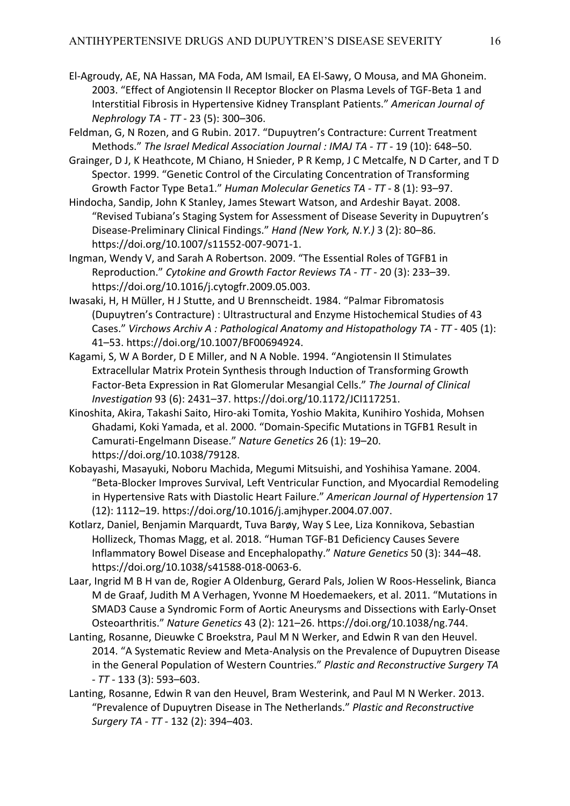El-Agroudy, AE, NA Hassan, MA Foda, AM Ismail, EA El-Sawy, O Mousa, and MA Ghoneim. 2003. "Effect of Angiotensin II Receptor Blocker on Plasma Levels of TGF-Beta 1 and Interstitial Fibrosis in Hypertensive Kidney Transplant Patients." *American Journal of Nephrology TA - TT -* 23 (5): 300–306.

Feldman, G, N Rozen, and G Rubin. 2017. "Dupuytren's Contracture: Current Treatment Methods." *The Israel Medical Association Journal : IMAJ TA - TT -* 19 (10): 648–50.

Grainger, D J, K Heathcote, M Chiano, H Snieder, P R Kemp, J C Metcalfe, N D Carter, and T D Spector. 1999. "Genetic Control of the Circulating Concentration of Transforming Growth Factor Type Beta1." *Human Molecular Genetics TA - TT -* 8 (1): 93–97.

Hindocha, Sandip, John K Stanley, James Stewart Watson, and Ardeshir Bayat. 2008. "Revised Tubiana's Staging System for Assessment of Disease Severity in Dupuytren's Disease-Preliminary Clinical Findings." *Hand (New York, N.Y.)* 3 (2): 80–86. https://doi.org/10.1007/s11552-007-9071-1.

Ingman, Wendy V, and Sarah A Robertson. 2009. "The Essential Roles of TGFB1 in Reproduction." *Cytokine and Growth Factor Reviews TA - TT -* 20 (3): 233–39. https://doi.org/10.1016/j.cytogfr.2009.05.003.

- Iwasaki, H, H Müller, H J Stutte, and U Brennscheidt. 1984. "Palmar Fibromatosis (Dupuytren's Contracture) : Ultrastructural and Enzyme Histochemical Studies of 43 Cases." *Virchows Archiv A : Pathological Anatomy and Histopathology TA - TT -* 405 (1): 41–53. https://doi.org/10.1007/BF00694924.
- Kagami, S, W A Border, D E Miller, and N A Noble. 1994. "Angiotensin II Stimulates Extracellular Matrix Protein Synthesis through Induction of Transforming Growth Factor-Beta Expression in Rat Glomerular Mesangial Cells." *The Journal of Clinical Investigation* 93 (6): 2431–37. https://doi.org/10.1172/JCI117251.
- Kinoshita, Akira, Takashi Saito, Hiro-aki Tomita, Yoshio Makita, Kunihiro Yoshida, Mohsen Ghadami, Koki Yamada, et al. 2000. "Domain-Specific Mutations in TGFB1 Result in Camurati-Engelmann Disease." *Nature Genetics* 26 (1): 19–20. https://doi.org/10.1038/79128.
- Kobayashi, Masayuki, Noboru Machida, Megumi Mitsuishi, and Yoshihisa Yamane. 2004. "Beta-Blocker Improves Survival, Left Ventricular Function, and Myocardial Remodeling in Hypertensive Rats with Diastolic Heart Failure." *American Journal of Hypertension* 17 (12): 1112–19. https://doi.org/10.1016/j.amjhyper.2004.07.007.
- Kotlarz, Daniel, Benjamin Marquardt, Tuva Barøy, Way S Lee, Liza Konnikova, Sebastian Hollizeck, Thomas Magg, et al. 2018. "Human TGF-Β1 Deficiency Causes Severe Inflammatory Bowel Disease and Encephalopathy." *Nature Genetics* 50 (3): 344–48. https://doi.org/10.1038/s41588-018-0063-6.
- Laar, Ingrid M B H van de, Rogier A Oldenburg, Gerard Pals, Jolien W Roos-Hesselink, Bianca M de Graaf, Judith M A Verhagen, Yvonne M Hoedemaekers, et al. 2011. "Mutations in SMAD3 Cause a Syndromic Form of Aortic Aneurysms and Dissections with Early-Onset Osteoarthritis." *Nature Genetics* 43 (2): 121–26. https://doi.org/10.1038/ng.744.
- Lanting, Rosanne, Dieuwke C Broekstra, Paul M N Werker, and Edwin R van den Heuvel. 2014. "A Systematic Review and Meta-Analysis on the Prevalence of Dupuytren Disease in the General Population of Western Countries." *Plastic and Reconstructive Surgery TA - TT -* 133 (3): 593–603.
- Lanting, Rosanne, Edwin R van den Heuvel, Bram Westerink, and Paul M N Werker. 2013. "Prevalence of Dupuytren Disease in The Netherlands." *Plastic and Reconstructive Surgery TA - TT -* 132 (2): 394–403.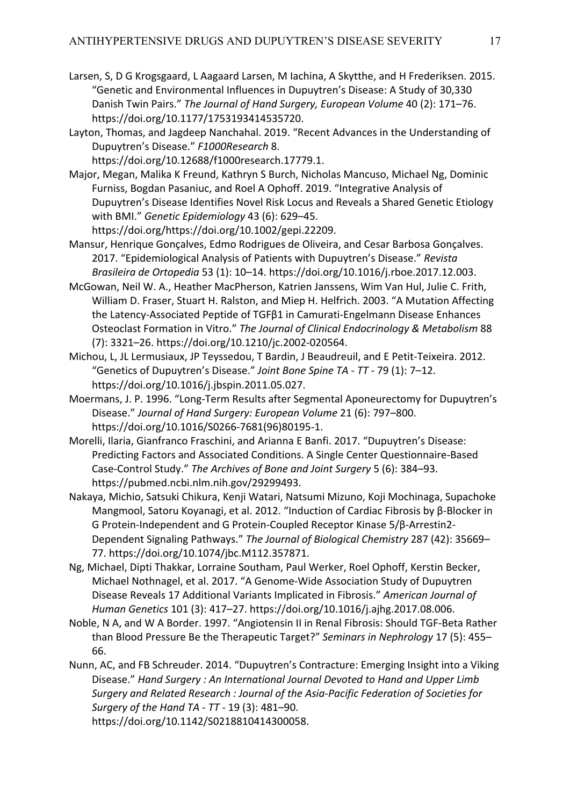- Larsen, S, D G Krogsgaard, L Aagaard Larsen, M Iachina, A Skytthe, and H Frederiksen. 2015. "Genetic and Environmental Influences in Dupuytren's Disease: A Study of 30,330 Danish Twin Pairs." *The Journal of Hand Surgery, European Volume* 40 (2): 171–76. https://doi.org/10.1177/1753193414535720.
- Layton, Thomas, and Jagdeep Nanchahal. 2019. "Recent Advances in the Understanding of Dupuytren's Disease." *F1000Research* 8.

https://doi.org/10.12688/f1000research.17779.1.

- Major, Megan, Malika K Freund, Kathryn S Burch, Nicholas Mancuso, Michael Ng, Dominic Furniss, Bogdan Pasaniuc, and Roel A Ophoff. 2019. "Integrative Analysis of Dupuytren's Disease Identifies Novel Risk Locus and Reveals a Shared Genetic Etiology with BMI." *Genetic Epidemiology* 43 (6): 629–45. https://doi.org/https://doi.org/10.1002/gepi.22209.
- Mansur, Henrique Gonçalves, Edmo Rodrigues de Oliveira, and Cesar Barbosa Gonçalves. 2017. "Epidemiological Analysis of Patients with Dupuytren's Disease." *Revista Brasileira de Ortopedia* 53 (1): 10–14. https://doi.org/10.1016/j.rboe.2017.12.003.
- McGowan, Neil W. A., Heather MacPherson, Katrien Janssens, Wim Van Hul, Julie C. Frith, William D. Fraser, Stuart H. Ralston, and Miep H. Helfrich. 2003. "A Mutation Affecting the Latency-Associated Peptide of TGFβ1 in Camurati-Engelmann Disease Enhances Osteoclast Formation in Vitro." *The Journal of Clinical Endocrinology & Metabolism* 88 (7): 3321–26. https://doi.org/10.1210/jc.2002-020564.
- Michou, L, JL Lermusiaux, JP Teyssedou, T Bardin, J Beaudreuil, and E Petit-Teixeira. 2012. "Genetics of Dupuytren's Disease." *Joint Bone Spine TA - TT -* 79 (1): 7–12. https://doi.org/10.1016/j.jbspin.2011.05.027.
- Moermans, J. P. 1996. "Long-Term Results after Segmental Aponeurectomy for Dupuytren's Disease." *Journal of Hand Surgery: European Volume* 21 (6): 797–800. https://doi.org/10.1016/S0266-7681(96)80195-1.
- Morelli, Ilaria, Gianfranco Fraschini, and Arianna E Banfi. 2017. "Dupuytren's Disease: Predicting Factors and Associated Conditions. A Single Center Questionnaire-Based Case-Control Study." *The Archives of Bone and Joint Surgery* 5 (6): 384–93. https://pubmed.ncbi.nlm.nih.gov/29299493.
- Nakaya, Michio, Satsuki Chikura, Kenji Watari, Natsumi Mizuno, Koji Mochinaga, Supachoke Mangmool, Satoru Koyanagi, et al. 2012. "Induction of Cardiac Fibrosis by β-Blocker in G Protein-Independent and G Protein-Coupled Receptor Kinase 5/β-Arrestin2- Dependent Signaling Pathways." *The Journal of Biological Chemistry* 287 (42): 35669– 77. https://doi.org/10.1074/jbc.M112.357871.
- Ng, Michael, Dipti Thakkar, Lorraine Southam, Paul Werker, Roel Ophoff, Kerstin Becker, Michael Nothnagel, et al. 2017. "A Genome-Wide Association Study of Dupuytren Disease Reveals 17 Additional Variants Implicated in Fibrosis." *American Journal of Human Genetics* 101 (3): 417–27. https://doi.org/10.1016/j.ajhg.2017.08.006.
- Noble, N A, and W A Border. 1997. "Angiotensin II in Renal Fibrosis: Should TGF-Beta Rather than Blood Pressure Be the Therapeutic Target?" *Seminars in Nephrology* 17 (5): 455– 66.
- Nunn, AC, and FB Schreuder. 2014. "Dupuytren's Contracture: Emerging Insight into a Viking Disease." *Hand Surgery : An International Journal Devoted to Hand and Upper Limb Surgery and Related Research : Journal of the Asia-Pacific Federation of Societies for Surgery of the Hand TA - TT -* 19 (3): 481–90. https://doi.org/10.1142/S0218810414300058.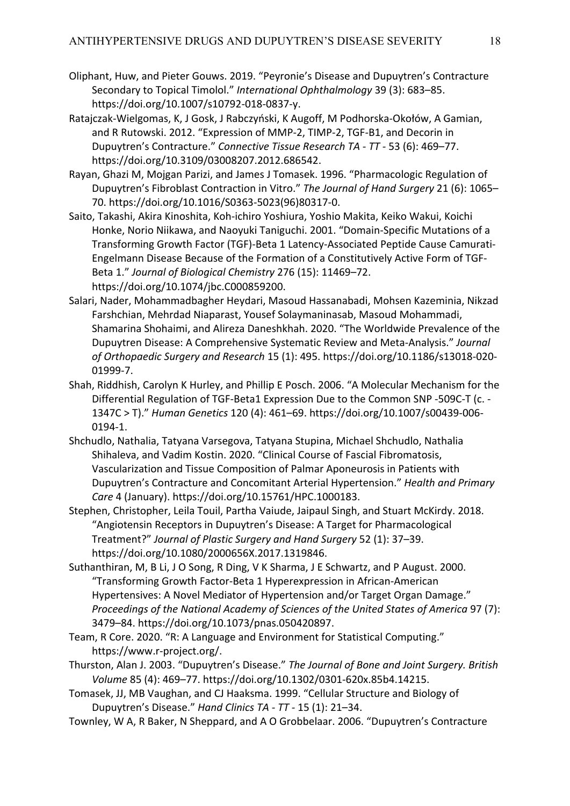- Oliphant, Huw, and Pieter Gouws. 2019. "Peyronie's Disease and Dupuytren's Contracture Secondary to Topical Timolol." *International Ophthalmology* 39 (3): 683–85. https://doi.org/10.1007/s10792-018-0837-y.
- Ratajczak-Wielgomas, K, J Gosk, J Rabczyński, K Augoff, M Podhorska-Okołów, A Gamian, and R Rutowski. 2012. "Expression of MMP-2, TIMP-2, TGF-Β1, and Decorin in Dupuytren's Contracture." *Connective Tissue Research TA - TT -* 53 (6): 469–77. https://doi.org/10.3109/03008207.2012.686542.
- Rayan, Ghazi M, Mojgan Parizi, and James J Tomasek. 1996. "Pharmacologic Regulation of Dupuytren's Fibroblast Contraction in Vitro." *The Journal of Hand Surgery* 21 (6): 1065– 70. https://doi.org/10.1016/S0363-5023(96)80317-0.
- Saito, Takashi, Akira Kinoshita, Koh-ichiro Yoshiura, Yoshio Makita, Keiko Wakui, Koichi Honke, Norio Niikawa, and Naoyuki Taniguchi. 2001. "Domain-Specific Mutations of a Transforming Growth Factor (TGF)-Beta 1 Latency-Associated Peptide Cause Camurati-Engelmann Disease Because of the Formation of a Constitutively Active Form of TGF-Beta 1." *Journal of Biological Chemistry* 276 (15): 11469–72. https://doi.org/10.1074/jbc.C000859200.
- Salari, Nader, Mohammadbagher Heydari, Masoud Hassanabadi, Mohsen Kazeminia, Nikzad Farshchian, Mehrdad Niaparast, Yousef Solaymaninasab, Masoud Mohammadi, Shamarina Shohaimi, and Alireza Daneshkhah. 2020. "The Worldwide Prevalence of the Dupuytren Disease: A Comprehensive Systematic Review and Meta-Analysis." *Journal of Orthopaedic Surgery and Research* 15 (1): 495. https://doi.org/10.1186/s13018-020- 01999-7.
- Shah, Riddhish, Carolyn K Hurley, and Phillip E Posch. 2006. "A Molecular Mechanism for the Differential Regulation of TGF-Beta1 Expression Due to the Common SNP -509C-T (c. - 1347C > T)." *Human Genetics* 120 (4): 461–69. https://doi.org/10.1007/s00439-006- 0194-1.
- Shchudlo, Nathalia, Tatyana Varsegova, Tatyana Stupina, Michael Shchudlo, Nathalia Shihaleva, and Vadim Kostin. 2020. "Clinical Course of Fascial Fibromatosis, Vascularization and Tissue Composition of Palmar Aponeurosis in Patients with Dupuytren's Contracture and Concomitant Arterial Hypertension." *Health and Primary Care* 4 (January). https://doi.org/10.15761/HPC.1000183.
- Stephen, Christopher, Leila Touil, Partha Vaiude, Jaipaul Singh, and Stuart McKirdy. 2018. "Angiotensin Receptors in Dupuytren's Disease: A Target for Pharmacological Treatment?" *Journal of Plastic Surgery and Hand Surgery* 52 (1): 37–39. https://doi.org/10.1080/2000656X.2017.1319846.
- Suthanthiran, M, B Li, J O Song, R Ding, V K Sharma, J E Schwartz, and P August. 2000. "Transforming Growth Factor-Beta 1 Hyperexpression in African-American Hypertensives: A Novel Mediator of Hypertension and/or Target Organ Damage." *Proceedings of the National Academy of Sciences of the United States of America* 97 (7): 3479–84. https://doi.org/10.1073/pnas.050420897.
- Team, R Core. 2020. "R: A Language and Environment for Statistical Computing." https://www.r-project.org/.
- Thurston, Alan J. 2003. "Dupuytren's Disease." *The Journal of Bone and Joint Surgery. British Volume* 85 (4): 469–77. https://doi.org/10.1302/0301-620x.85b4.14215.
- Tomasek, JJ, MB Vaughan, and CJ Haaksma. 1999. "Cellular Structure and Biology of Dupuytren's Disease." *Hand Clinics TA - TT -* 15 (1): 21–34.
- Townley, W A, R Baker, N Sheppard, and A O Grobbelaar. 2006. "Dupuytren's Contracture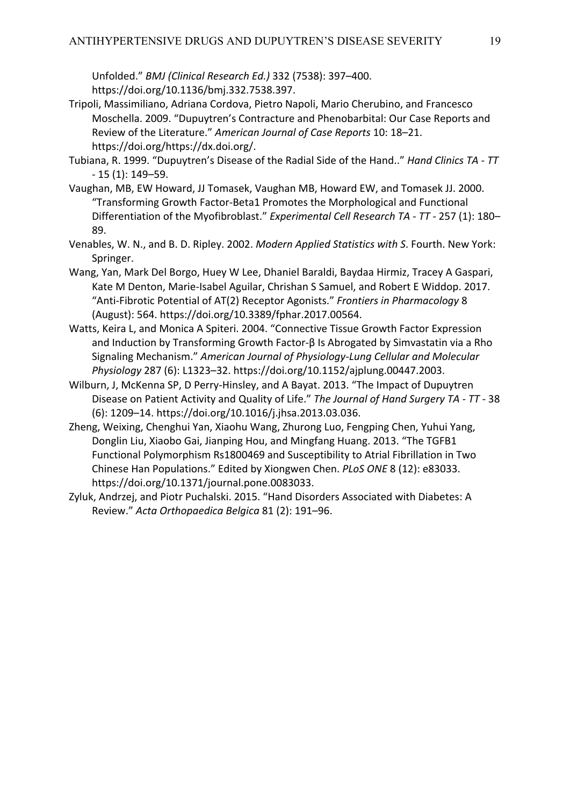Unfolded." *BMJ (Clinical Research Ed.)* 332 (7538): 397–400. https://doi.org/10.1136/bmj.332.7538.397.

- Tripoli, Massimiliano, Adriana Cordova, Pietro Napoli, Mario Cherubino, and Francesco Moschella. 2009. "Dupuytren's Contracture and Phenobarbital: Our Case Reports and Review of the Literature." *American Journal of Case Reports* 10: 18–21. https://doi.org/https://dx.doi.org/.
- Tubiana, R. 1999. "Dupuytren's Disease of the Radial Side of the Hand.." *Hand Clinics TA - TT -* 15 (1): 149–59.
- Vaughan, MB, EW Howard, JJ Tomasek, Vaughan MB, Howard EW, and Tomasek JJ. 2000. "Transforming Growth Factor-Beta1 Promotes the Morphological and Functional Differentiation of the Myofibroblast." *Experimental Cell Research TA - TT -* 257 (1): 180– 89.
- Venables, W. N., and B. D. Ripley. 2002. *Modern Applied Statistics with S*. Fourth. New York: Springer.
- Wang, Yan, Mark Del Borgo, Huey W Lee, Dhaniel Baraldi, Baydaa Hirmiz, Tracey A Gaspari, Kate M Denton, Marie-Isabel Aguilar, Chrishan S Samuel, and Robert E Widdop. 2017. "Anti-Fibrotic Potential of AT(2) Receptor Agonists." *Frontiers in Pharmacology* 8 (August): 564. https://doi.org/10.3389/fphar.2017.00564.
- Watts, Keira L, and Monica A Spiteri. 2004. "Connective Tissue Growth Factor Expression and Induction by Transforming Growth Factor-β Is Abrogated by Simvastatin via a Rho Signaling Mechanism." *American Journal of Physiology-Lung Cellular and Molecular Physiology* 287 (6): L1323–32. https://doi.org/10.1152/ajplung.00447.2003.
- Wilburn, J, McKenna SP, D Perry-Hinsley, and A Bayat. 2013. "The Impact of Dupuytren Disease on Patient Activity and Quality of Life." *The Journal of Hand Surgery TA - TT -* 38 (6): 1209–14. https://doi.org/10.1016/j.jhsa.2013.03.036.
- Zheng, Weixing, Chenghui Yan, Xiaohu Wang, Zhurong Luo, Fengping Chen, Yuhui Yang, Donglin Liu, Xiaobo Gai, Jianping Hou, and Mingfang Huang. 2013. "The TGFB1 Functional Polymorphism Rs1800469 and Susceptibility to Atrial Fibrillation in Two Chinese Han Populations." Edited by Xiongwen Chen. *PLoS ONE* 8 (12): e83033. https://doi.org/10.1371/journal.pone.0083033.
- Zyluk, Andrzej, and Piotr Puchalski. 2015. "Hand Disorders Associated with Diabetes: A Review." *Acta Orthopaedica Belgica* 81 (2): 191–96.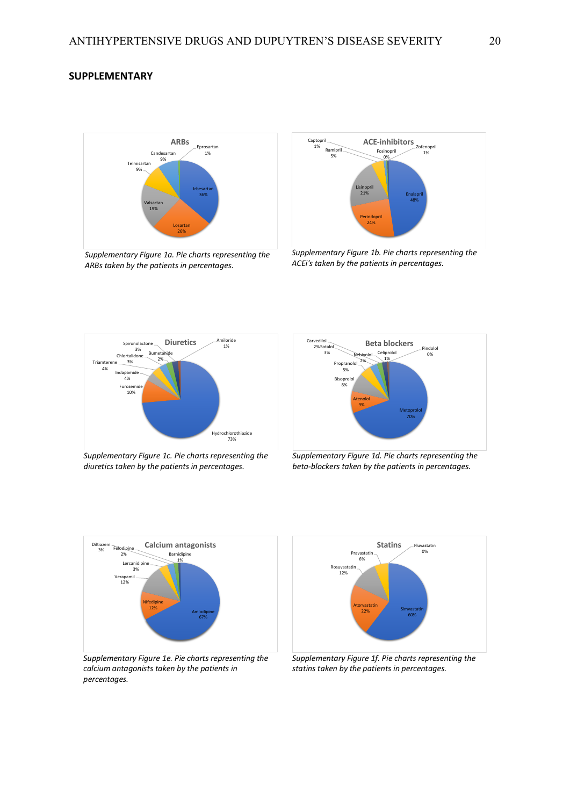## **SUPPLEMENTARY**



*Supplementary Figure 1a. Pie charts representing the ARBs taken by the patients in percentages.*



*Supplementary Figure 1b. Pie charts representing the ACEi's taken by the patients in percentages.*



*Supplementary Figure 1c. Pie charts representing the diuretics taken by the patients in percentages.*



*Supplementary Figure 1d. Pie charts representing the beta-blockers taken by the patients in percentages.*



*Supplementary Figure 1e. Pie charts representing the calcium antagonists taken by the patients in percentages.*



*Supplementary Figure 1f. Pie charts representing the statins taken by the patients in percentages.*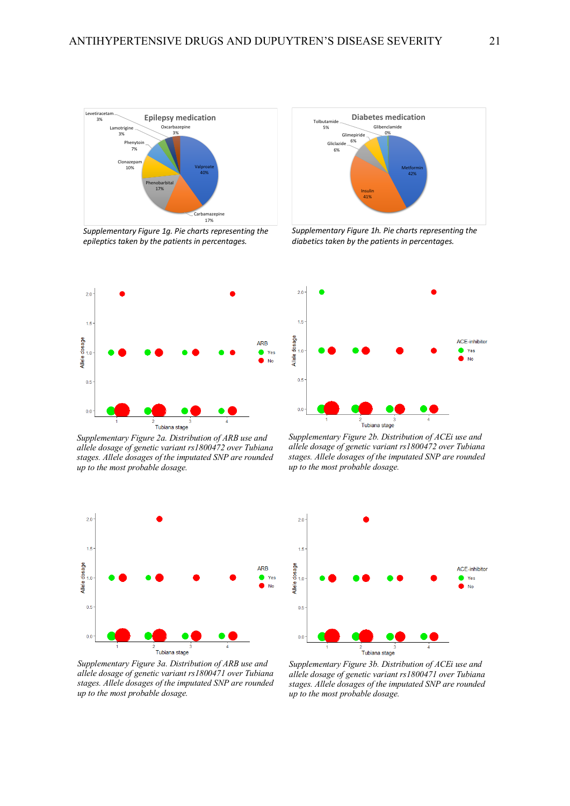

*Supplementary Figure 1g. Pie charts representing the epileptics taken by the patients in percentages.*



*Supplementary Figure 2a. Distribution of ARB use and allele dosage of genetic variant rs1800472 over Tubiana stages. Allele dosages of the imputated SNP are rounded up to the most probable dosage.*



*Supplementary Figure 3a. Distribution of ARB use and allele dosage of genetic variant rs1800471 over Tubiana stages. Allele dosages of the imputated SNP are rounded up to the most probable dosage.*



*Supplementary Figure 1h. Pie charts representing the diabetics taken by the patients in percentages.*



*Supplementary Figure 2b. Distribution of ACEi use and allele dosage of genetic variant rs1800472 over Tubiana stages. Allele dosages of the imputated SNP are rounded up to the most probable dosage.*



*Supplementary Figure 3b. Distribution of ACEi use and allele dosage of genetic variant rs1800471 over Tubiana stages. Allele dosages of the imputated SNP are rounded up to the most probable dosage.*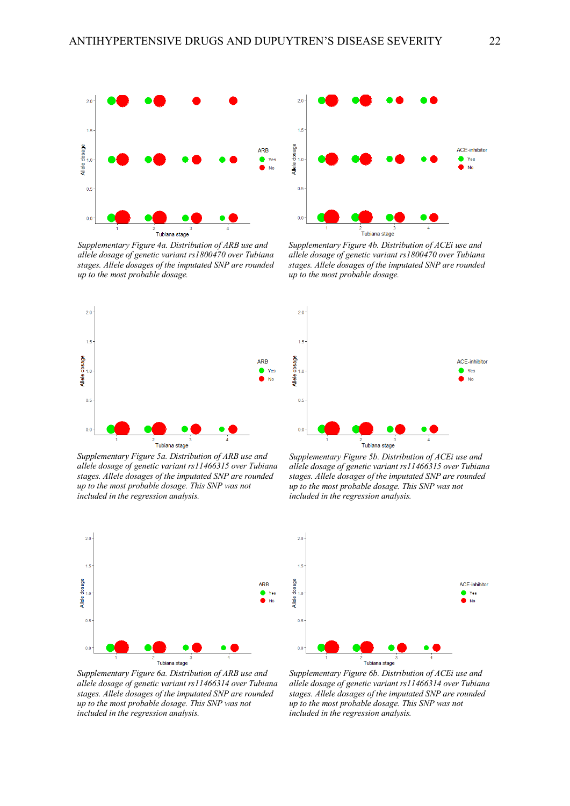

*Supplementary Figure 4a. Distribution of ARB use and allele dosage of genetic variant rs1800470 over Tubiana stages. Allele dosages of the imputated SNP are rounded up to the most probable dosage.*



*Supplementary Figure 5a. Distribution of ARB use and allele dosage of genetic variant rs11466315 over Tubiana stages. Allele dosages of the imputated SNP are rounded up to the most probable dosage. This SNP was not included in the regression analysis.*



*Supplementary Figure 6a. Distribution of ARB use and allele dosage of genetic variant rs11466314 over Tubiana stages. Allele dosages of the imputated SNP are rounded up to the most probable dosage. This SNP was not included in the regression analysis.*



*Supplementary Figure 4b. Distribution of ACEi use and allele dosage of genetic variant rs1800470 over Tubiana stages. Allele dosages of the imputated SNP are rounded up to the most probable dosage.*



*Supplementary Figure 5b. Distribution of ACEi use and allele dosage of genetic variant rs11466315 over Tubiana stages. Allele dosages of the imputated SNP are rounded up to the most probable dosage. This SNP was not included in the regression analysis.*



*Supplementary Figure 6b. Distribution of ACEi use and allele dosage of genetic variant rs11466314 over Tubiana stages. Allele dosages of the imputated SNP are rounded up to the most probable dosage. This SNP was not included in the regression analysis.*